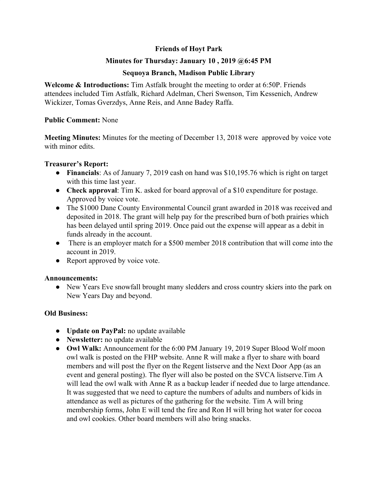# **Friends of Hoyt Park**

## **Minutes for Thursday: January 10 , 2019 @6:45 PM**

### **Sequoya Branch, Madison Public Library**

**Welcome & Introductions:** Tim Astfalk brought the meeting to order at 6:50P. Friends attendees included Tim Astfalk, Richard Adelman, Cheri Swenson, Tim Kessenich, Andrew Wickizer, Tomas Gverzdys, Anne Reis, and Anne Badey Raffa.

#### **Public Comment:** None

**Meeting Minutes:** Minutes for the meeting of December 13, 2018 were approved by voice vote with minor edits.

### **Treasurer's Report:**

- **Financials**: As of January 7, 2019 cash on hand was \$10,195.76 which is right on target with this time last year.
- **Check approval**: Tim K. asked for board approval of a \$10 expenditure for postage. Approved by voice vote.
- The \$1000 Dane County Environmental Council grant awarded in 2018 was received and deposited in 2018. The grant will help pay for the prescribed burn of both prairies which has been delayed until spring 2019. Once paid out the expense will appear as a debit in funds already in the account.
- There is an employer match for a \$500 member 2018 contribution that will come into the account in 2019.
- Report approved by voice vote.

#### **Announcements:**

• New Years Eve snowfall brought many sledders and cross country skiers into the park on New Years Day and beyond.

## **Old Business:**

- **● Update on PayPal:** no update available
- **● Newsletter:** no update available
- **● Owl Walk:** Announcement for the 6:00 PM January 19, 2019 Super Blood Wolf moon owl walk is posted on the FHP website. Anne R will make a flyer to share with board members and will post the flyer on the Regent listserve and the Next Door App (as an event and general posting). The flyer will also be posted on the SVCA listserve.Tim A will lead the owl walk with Anne R as a backup leader if needed due to large attendance. It was suggested that we need to capture the numbers of adults and numbers of kids in attendance as well as pictures of the gathering for the website. Tim A will bring membership forms, John E will tend the fire and Ron H will bring hot water for cocoa and owl cookies. Other board members will also bring snacks.